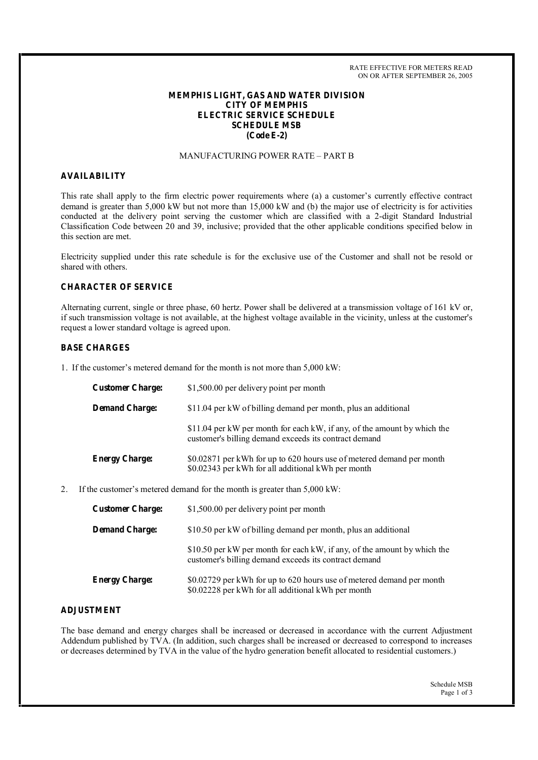RATE EFFECTIVE FOR METERS READ ON OR AFTER SEPTEMBER 26, 2005

### **MEMPHIS LIGHT, GAS AND WATER DIVISION CITY OF MEMPHIS ELECTRIC SERVICE SCHEDULE SCHEDULE MSB (Code E-2)**

## MANUFACTURING POWER RATE – PART B

### **AVAILABILITY**

This rate shall apply to the firm electric power requirements where (a) a customer's currently effective contract demand is greater than 5,000 kW but not more than 15,000 kW and (b) the major use of electricity is for activities conducted at the delivery point serving the customer which are classified with a 2-digit Standard Industrial Classification Code between 20 and 39, inclusive; provided that the other applicable conditions specified below in this section are met.

Electricity supplied under this rate schedule is for the exclusive use of the Customer and shall not be resold or shared with others.

#### **CHARACTER OF SERVICE**

Alternating current, single or three phase, 60 hertz. Power shall be delivered at a transmission voltage of 161 kV or, if such transmission voltage is not available, at the highest voltage available in the vicinity, unless at the customer's request a lower standard voltage is agreed upon.

#### **BASE CHARGES**

1. If the customer's metered demand for the month is not more than 5,000 kW:

| <b>Customer Charge:</b>                                                             | \$1,500.00 per delivery point per month                                                                                           |
|-------------------------------------------------------------------------------------|-----------------------------------------------------------------------------------------------------------------------------------|
| <b>Demand Charge:</b>                                                               | \$11.04 per kW of billing demand per month, plus an additional                                                                    |
|                                                                                     | \$11.04 per kW per month for each kW, if any, of the amount by which the<br>customer's billing demand exceeds its contract demand |
| <b>Energy Charge:</b>                                                               | \$0.02871 per kWh for up to 620 hours use of metered demand per month<br>\$0.02343 per kWh for all additional kWh per month       |
| If the customer's metered demand for the month is greater than $5,000 \text{ kW}$ : |                                                                                                                                   |

| <b>Customer Charge:</b> | \$1,500.00 per delivery point per month                                                                                           |
|-------------------------|-----------------------------------------------------------------------------------------------------------------------------------|
| <b>Demand Charge:</b>   | \$10.50 per kW of billing demand per month, plus an additional                                                                    |
|                         | \$10.50 per kW per month for each kW, if any, of the amount by which the<br>customer's billing demand exceeds its contract demand |
| <b>Energy Charge:</b>   | \$0.02729 per kWh for up to 620 hours use of metered demand per month<br>\$0.02228 per kWh for all additional kWh per month       |

### **ADJUSTMENT**

The base demand and energy charges shall be increased or decreased in accordance with the current Adjustment Addendum published by TVA. (In addition, such charges shall be increased or decreased to correspond to increases or decreases determined by TVA in the value of the hydro generation benefit allocated to residential customers.)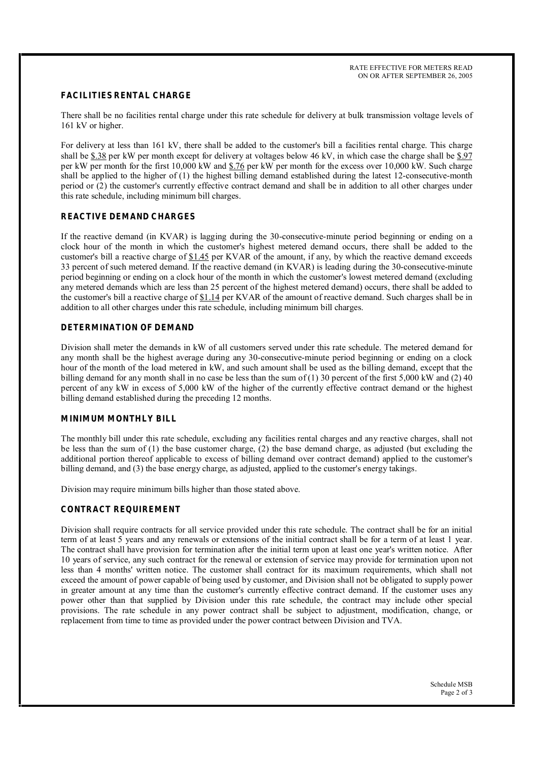## **FACILITIES RENTAL CHARGE**

There shall be no facilities rental charge under this rate schedule for delivery at bulk transmission voltage levels of 161 kV or higher.

For delivery at less than 161 kV, there shall be added to the customer's bill a facilities rental charge. This charge shall be \$.38 per kW per month except for delivery at voltages below 46 kV, in which case the charge shall be \$.97 per kW per month for the first 10,000 kW and \$.76 per kW per month for the excess over 10,000 kW. Such charge shall be applied to the higher of (1) the highest billing demand established during the latest 12-consecutive-month period or (2) the customer's currently effective contract demand and shall be in addition to all other charges under this rate schedule, including minimum bill charges.

### **REACTIVE DEMAND CHARGES**

If the reactive demand (in KVAR) is lagging during the 30-consecutive-minute period beginning or ending on a clock hour of the month in which the customer's highest metered demand occurs, there shall be added to the customer's bill a reactive charge of \$1.45 per KVAR of the amount, if any, by which the reactive demand exceeds 33 percent of such metered demand. If the reactive demand (in KVAR) is leading during the 30-consecutive-minute period beginning or ending on a clock hour of the month in which the customer's lowest metered demand (excluding any metered demands which are less than 25 percent of the highest metered demand) occurs, there shall be added to the customer's bill a reactive charge of  $$1.14$  per KVAR of the amount of reactive demand. Such charges shall be in addition to all other charges under this rate schedule, including minimum bill charges.

#### **DETERMINATION OF DEMAND**

Division shall meter the demands in kW of all customers served under this rate schedule. The metered demand for any month shall be the highest average during any 30-consecutive-minute period beginning or ending on a clock hour of the month of the load metered in kW, and such amount shall be used as the billing demand, except that the billing demand for any month shall in no case be less than the sum of  $(1)$  30 percent of the first 5,000 kW and  $(2)$  40 percent of any kW in excess of 5,000 kW of the higher of the currently effective contract demand or the highest billing demand established during the preceding 12 months.

#### **MINIMUM MONTHLY BILL**

The monthly bill under this rate schedule, excluding any facilities rental charges and any reactive charges, shall not be less than the sum of (1) the base customer charge, (2) the base demand charge, as adjusted (but excluding the additional portion thereof applicable to excess of billing demand over contract demand) applied to the customer's billing demand, and (3) the base energy charge, as adjusted, applied to the customer's energy takings.

Division may require minimum bills higher than those stated above.

### **CONTRACT REQUIREMENT**

Division shall require contracts for all service provided under this rate schedule. The contract shall be for an initial term of at least 5 years and any renewals or extensions of the initial contract shall be for a term of at least 1 year. The contract shall have provision for termination after the initial term upon at least one year's written notice. After 10 years of service, any such contract for the renewal or extension of service may provide for termination upon not less than 4 months' written notice. The customer shall contract for its maximum requirements, which shall not exceed the amount of power capable of being used by customer, and Division shall not be obligated to supply power in greater amount at any time than the customer's currently effective contract demand. If the customer uses any power other than that supplied by Division under this rate schedule, the contract may include other special provisions. The rate schedule in any power contract shall be subject to adjustment, modification, change, or replacement from time to time as provided under the power contract between Division and TVA.